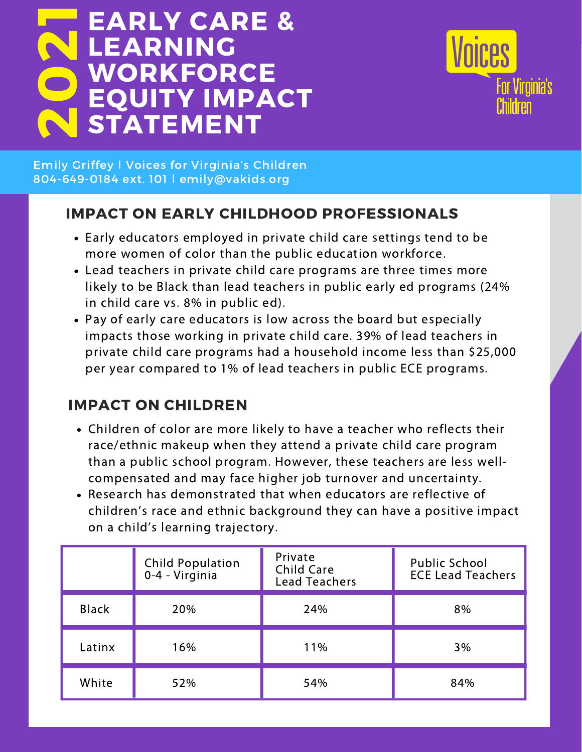## EARLY CARE & LEARNING **WORKFORCE** EQUITY IMPACT **STATEMENT** 02 1



Emily Griffey ǀ Voices for Virginia's Children 804-649-0184 ext. 101 ǀ emily@vakids.org

# IMPACT ON EARLY CHILDHOOD PROFESSIONALS

- Early educators employed in private child care settings tend to be more women of color than the public education workforce.
- Lead teachers in private child care programs are three times more likely to be Black than lead teachers in public early ed programs (24% in child care vs. 8% in public ed).
- Pay of early care educators is low across the board but especially impacts those working in private child care. 39% of lead teachers in private child care programs had a household income less than \$25,000 per year compared to 1% of lead teachers in public ECE programs.

# IMPACT ON CHILDREN

- Children of color are more likely to have a teacher who reflects their race/ethnic makeup when they attend a private child care program than a public school program. However, these teachers are less wellcompensated and may face higher job turnover and uncertainty.
- Research has demonstrated that when educators are reflective of children's race and ethnic background they can have a positive impact on a child's learning trajectory.

|              | Child Population<br>0-4 - Virginia | Private<br><b>Child Care</b><br><b>Lead Teachers</b> | Public School<br><b>ECE Lead Teachers</b> |
|--------------|------------------------------------|------------------------------------------------------|-------------------------------------------|
| <b>Black</b> | 20%                                | 24%                                                  | 8%                                        |
| Latinx       | 16%                                | 11%                                                  | 3%                                        |
| White        | 52%                                | 54%                                                  | 84%                                       |